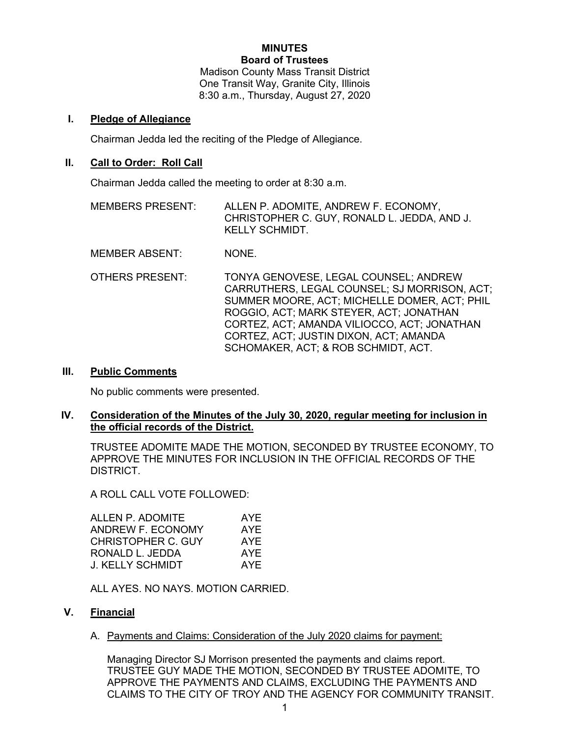### **MINUTES Board of Trustees**

Madison County Mass Transit District One Transit Way, Granite City, Illinois 8:30 a.m., Thursday, August 27, 2020

## **I. Pledge of Allegiance**

Chairman Jedda led the reciting of the Pledge of Allegiance.

# **II. Call to Order: Roll Call**

Chairman Jedda called the meeting to order at 8:30 a.m.

- MEMBERS PRESENT: ALLEN P. ADOMITE, ANDREW F. ECONOMY, CHRISTOPHER C. GUY, RONALD L. JEDDA, AND J. KELLY SCHMIDT.
- MEMBER ABSENT: NONE.
- OTHERS PRESENT: TONYA GENOVESE, LEGAL COUNSEL; ANDREW CARRUTHERS, LEGAL COUNSEL; SJ MORRISON, ACT; SUMMER MOORE, ACT; MICHELLE DOMER, ACT; PHIL ROGGIO, ACT; MARK STEYER, ACT; JONATHAN CORTEZ, ACT; AMANDA VILIOCCO, ACT; JONATHAN CORTEZ, ACT; JUSTIN DIXON, ACT; AMANDA SCHOMAKER, ACT; & ROB SCHMIDT, ACT.

## **III. Public Comments**

No public comments were presented.

# **IV. Consideration of the Minutes of the July 30, 2020, regular meeting for inclusion in the official records of the District.**

TRUSTEE ADOMITE MADE THE MOTION, SECONDED BY TRUSTEE ECONOMY, TO APPROVE THE MINUTES FOR INCLUSION IN THE OFFICIAL RECORDS OF THE DISTRICT.

A ROLL CALL VOTE FOLLOWED:

| AYE |
|-----|
| AYE |
| AYE |
| AYE |
| AYF |
|     |

ALL AYES. NO NAYS. MOTION CARRIED.

# **V. Financial**

A. Payments and Claims: Consideration of the July 2020 claims for payment:

Managing Director SJ Morrison presented the payments and claims report. TRUSTEE GUY MADE THE MOTION, SECONDED BY TRUSTEE ADOMITE, TO APPROVE THE PAYMENTS AND CLAIMS, EXCLUDING THE PAYMENTS AND CLAIMS TO THE CITY OF TROY AND THE AGENCY FOR COMMUNITY TRANSIT.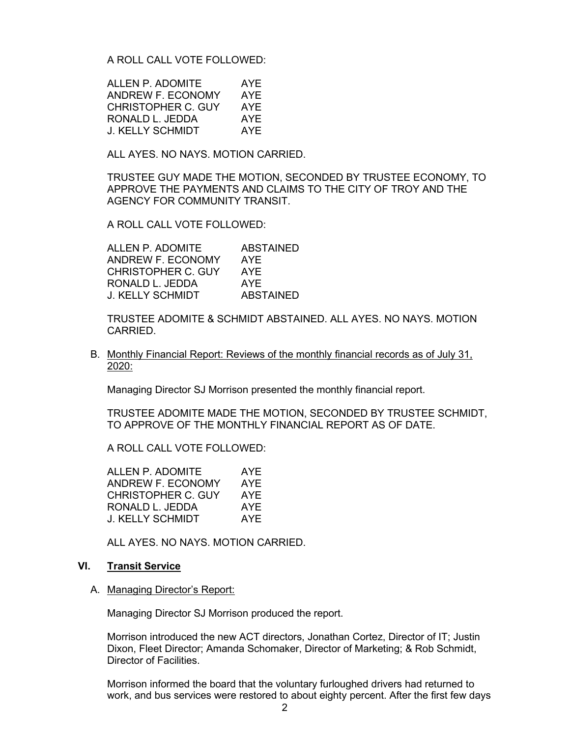A ROLL CALL VOTE FOLLOWED:

| ALLEN P. ADOMITE   | AYE |
|--------------------|-----|
| ANDREW F. ECONOMY  | AYF |
| CHRISTOPHER C. GUY | AYE |
| RONALD L. JEDDA    | AYE |
| J. KELLY SCHMIDT   | AYF |

ALL AYES. NO NAYS. MOTION CARRIED.

TRUSTEE GUY MADE THE MOTION, SECONDED BY TRUSTEE ECONOMY, TO APPROVE THE PAYMENTS AND CLAIMS TO THE CITY OF TROY AND THE AGENCY FOR COMMUNITY TRANSIT.

A ROLL CALL VOTE FOLLOWED:

ALLEN P. ADOMITE ABSTAINED ANDREW F. ECONOMY AYE<br>CHRISTOPHER C. GUY AYE CHRISTOPHER C. GUY AYE<br>RONALD L. JEDDA AYE RONALD L. JEDDA J. KELLY SCHMIDT ABSTAINED

TRUSTEE ADOMITE & SCHMIDT ABSTAINED. ALL AYES. NO NAYS. MOTION CARRIED.

B. Monthly Financial Report: Reviews of the monthly financial records as of July 31, 2020:

Managing Director SJ Morrison presented the monthly financial report.

TRUSTEE ADOMITE MADE THE MOTION, SECONDED BY TRUSTEE SCHMIDT, TO APPROVE OF THE MONTHLY FINANCIAL REPORT AS OF DATE.

A ROLL CALL VOTE FOLLOWED:

ALLEN P. ADOMITE AYE ANDREW F. ECONOMY AYE CHRISTOPHER C. GUY AYE RONALD L. JEDDA AYE J. KELLY SCHMIDT AYE

ALL AYES. NO NAYS. MOTION CARRIED.

#### **VI. Transit Service**

A. Managing Director's Report:

Managing Director SJ Morrison produced the report.

Morrison introduced the new ACT directors, Jonathan Cortez, Director of IT; Justin Dixon, Fleet Director; Amanda Schomaker, Director of Marketing; & Rob Schmidt, Director of Facilities.

Morrison informed the board that the voluntary furloughed drivers had returned to work, and bus services were restored to about eighty percent. After the first few days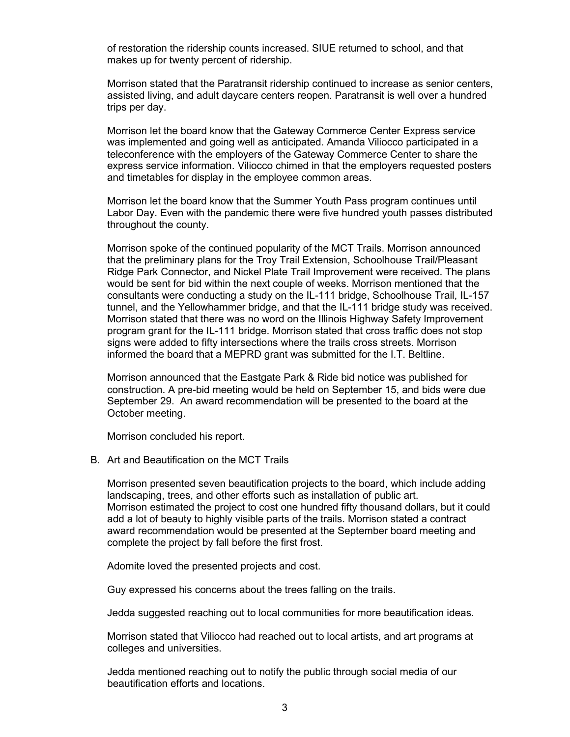of restoration the ridership counts increased. SIUE returned to school, and that makes up for twenty percent of ridership.

Morrison stated that the Paratransit ridership continued to increase as senior centers, assisted living, and adult daycare centers reopen. Paratransit is well over a hundred trips per day.

Morrison let the board know that the Gateway Commerce Center Express service was implemented and going well as anticipated. Amanda Viliocco participated in a teleconference with the employers of the Gateway Commerce Center to share the express service information. Viliocco chimed in that the employers requested posters and timetables for display in the employee common areas.

Morrison let the board know that the Summer Youth Pass program continues until Labor Day. Even with the pandemic there were five hundred youth passes distributed throughout the county.

Morrison spoke of the continued popularity of the MCT Trails. Morrison announced that the preliminary plans for the Troy Trail Extension, Schoolhouse Trail/Pleasant Ridge Park Connector, and Nickel Plate Trail Improvement were received. The plans would be sent for bid within the next couple of weeks. Morrison mentioned that the consultants were conducting a study on the IL-111 bridge, Schoolhouse Trail, IL-157 tunnel, and the Yellowhammer bridge, and that the IL-111 bridge study was received. Morrison stated that there was no word on the Illinois Highway Safety Improvement program grant for the IL-111 bridge. Morrison stated that cross traffic does not stop signs were added to fifty intersections where the trails cross streets. Morrison informed the board that a MEPRD grant was submitted for the I.T. Beltline.

Morrison announced that the Eastgate Park & Ride bid notice was published for construction. A pre-bid meeting would be held on September 15, and bids were due September 29. An award recommendation will be presented to the board at the October meeting.

Morrison concluded his report.

B. Art and Beautification on the MCT Trails

Morrison presented seven beautification projects to the board, which include adding landscaping, trees, and other efforts such as installation of public art. Morrison estimated the project to cost one hundred fifty thousand dollars, but it could add a lot of beauty to highly visible parts of the trails. Morrison stated a contract award recommendation would be presented at the September board meeting and complete the project by fall before the first frost.

Adomite loved the presented projects and cost.

Guy expressed his concerns about the trees falling on the trails.

Jedda suggested reaching out to local communities for more beautification ideas.

Morrison stated that Viliocco had reached out to local artists, and art programs at colleges and universities.

Jedda mentioned reaching out to notify the public through social media of our beautification efforts and locations.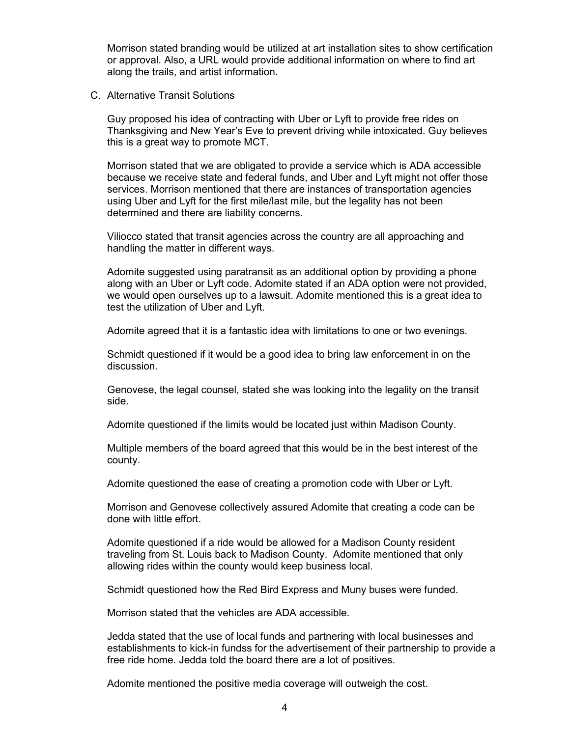Morrison stated branding would be utilized at art installation sites to show certification or approval. Also, a URL would provide additional information on where to find art along the trails, and artist information.

C. Alternative Transit Solutions

Guy proposed his idea of contracting with Uber or Lyft to provide free rides on Thanksgiving and New Year's Eve to prevent driving while intoxicated. Guy believes this is a great way to promote MCT.

Morrison stated that we are obligated to provide a service which is ADA accessible because we receive state and federal funds, and Uber and Lyft might not offer those services. Morrison mentioned that there are instances of transportation agencies using Uber and Lyft for the first mile/last mile, but the legality has not been determined and there are liability concerns.

Viliocco stated that transit agencies across the country are all approaching and handling the matter in different ways.

Adomite suggested using paratransit as an additional option by providing a phone along with an Uber or Lyft code. Adomite stated if an ADA option were not provided, we would open ourselves up to a lawsuit. Adomite mentioned this is a great idea to test the utilization of Uber and Lyft.

Adomite agreed that it is a fantastic idea with limitations to one or two evenings.

Schmidt questioned if it would be a good idea to bring law enforcement in on the discussion.

Genovese, the legal counsel, stated she was looking into the legality on the transit side.

Adomite questioned if the limits would be located just within Madison County.

Multiple members of the board agreed that this would be in the best interest of the county.

Adomite questioned the ease of creating a promotion code with Uber or Lyft.

Morrison and Genovese collectively assured Adomite that creating a code can be done with little effort.

Adomite questioned if a ride would be allowed for a Madison County resident traveling from St. Louis back to Madison County. Adomite mentioned that only allowing rides within the county would keep business local.

Schmidt questioned how the Red Bird Express and Muny buses were funded.

Morrison stated that the vehicles are ADA accessible.

Jedda stated that the use of local funds and partnering with local businesses and establishments to kick-in fundss for the advertisement of their partnership to provide a free ride home. Jedda told the board there are a lot of positives.

Adomite mentioned the positive media coverage will outweigh the cost.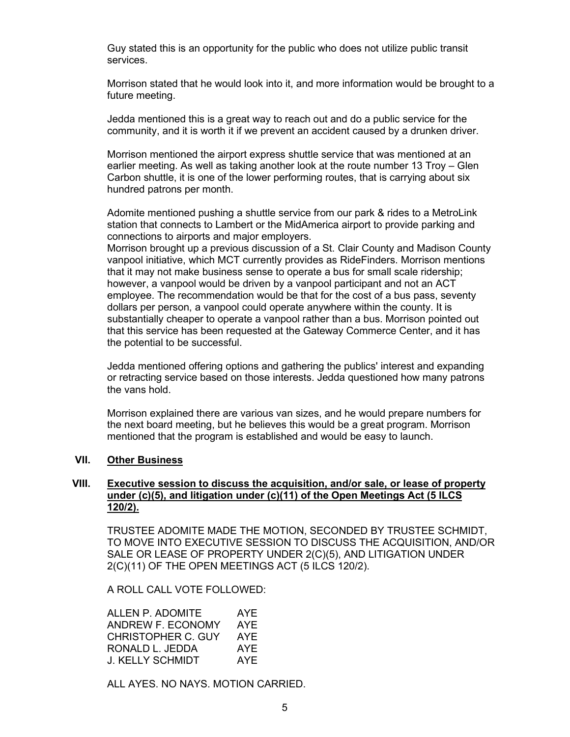Guy stated this is an opportunity for the public who does not utilize public transit services.

Morrison stated that he would look into it, and more information would be brought to a future meeting.

Jedda mentioned this is a great way to reach out and do a public service for the community, and it is worth it if we prevent an accident caused by a drunken driver.

Morrison mentioned the airport express shuttle service that was mentioned at an earlier meeting. As well as taking another look at the route number 13 Troy – Glen Carbon shuttle, it is one of the lower performing routes, that is carrying about six hundred patrons per month.

Adomite mentioned pushing a shuttle service from our park & rides to a MetroLink station that connects to Lambert or the MidAmerica airport to provide parking and connections to airports and major employers.

Morrison brought up a previous discussion of a St. Clair County and Madison County vanpool initiative, which MCT currently provides as RideFinders. Morrison mentions that it may not make business sense to operate a bus for small scale ridership; however, a vanpool would be driven by a vanpool participant and not an ACT employee. The recommendation would be that for the cost of a bus pass, seventy dollars per person, a vanpool could operate anywhere within the county. It is substantially cheaper to operate a vanpool rather than a bus. Morrison pointed out that this service has been requested at the Gateway Commerce Center, and it has the potential to be successful.

Jedda mentioned offering options and gathering the publics' interest and expanding or retracting service based on those interests. Jedda questioned how many patrons the vans hold.

Morrison explained there are various van sizes, and he would prepare numbers for the next board meeting, but he believes this would be a great program. Morrison mentioned that the program is established and would be easy to launch.

## **VII. Other Business**

# **VIII. Executive session to discuss the acquisition, and/or sale, or lease of property under (c)(5), and litigation under (c)(11) of the Open Meetings Act (5 ILCS 120/2).**

TRUSTEE ADOMITE MADE THE MOTION, SECONDED BY TRUSTEE SCHMIDT, TO MOVE INTO EXECUTIVE SESSION TO DISCUSS THE ACQUISITION, AND/OR SALE OR LEASE OF PROPERTY UNDER 2(C)(5), AND LITIGATION UNDER 2(C)(11) OF THE OPEN MEETINGS ACT (5 ILCS 120/2).

A ROLL CALL VOTE FOLLOWED:

| ALLEN P. ADOMITE   | AYE |
|--------------------|-----|
| ANDREW F. ECONOMY  | AYE |
| CHRISTOPHER C. GUY | AYF |
| RONALD L. JEDDA    | AYE |
| J. KELLY SCHMIDT   | AYF |

ALL AYES. NO NAYS. MOTION CARRIED.